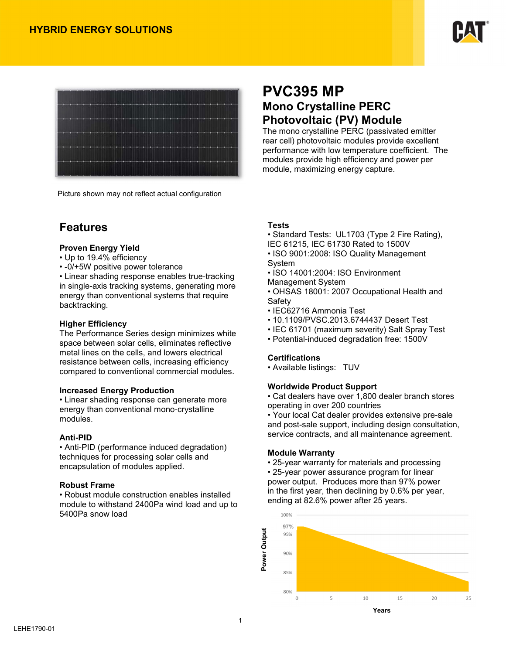



Picture shown may not reflect actual configuration

## **Features**

### **Proven Energy Yield**

- Up to 19.4% efficiency
- -0/+5W positive power tolerance

• Linear shading response enables true-tracking in single-axis tracking systems, generating more energy than conventional systems that require backtracking.

### **Higher Efficiency**

The Performance Series design minimizes white space between solar cells, eliminates reflective metal lines on the cells, and lowers electrical resistance between cells, increasing efficiency compared to conventional commercial modules.

### **Increased Energy Production**

• Linear shading response can generate more energy than conventional mono-crystalline modules.

### **Anti-PID**

• Anti-PID (performance induced degradation) techniques for processing solar cells and encapsulation of modules applied.

### **Robust Frame**

• Robust module construction enables installed module to withstand 2400Pa wind load and up to 5400Pa snow load

# **PVC395 MP Mono Crystalline PERC Photovoltaic (PV) Module**

The mono crystalline PERC (passivated emitter rear cell) photovoltaic modules provide excellent performance with low temperature coefficient. The modules provide high efficiency and power per module, maximizing energy capture.

## **Tests**

• Standard Tests: UL1703 (Type 2 Fire Rating), IEC 61215, IEC 61730 Rated to 1500V

• ISO 9001:2008: ISO Quality Management System

• ISO 14001:2004: ISO Environment

Management System

• OHSAS 18001: 2007 Occupational Health and **Safetv** 

- IEC62716 Ammonia Test
- 10.1109/PVSC.2013.6744437 Desert Test
- IEC 61701 (maximum severity) Salt Spray Test
- Potential-induced degradation free: 1500V

### **Certifications**

• Available listings: TUV

## **Worldwide Product Support**

• Cat dealers have over 1,800 dealer branch stores operating in over 200 countries

• Your local Cat dealer provides extensive pre-sale and post-sale support, including design consultation, service contracts, and all maintenance agreement.

### **Module Warranty**

• 25-year warranty for materials and processing

• 25-year power assurance program for linear power output. Produces more than 97% power in the first year, then declining by 0.6% per year, ending at 82.6% power after 25 years.